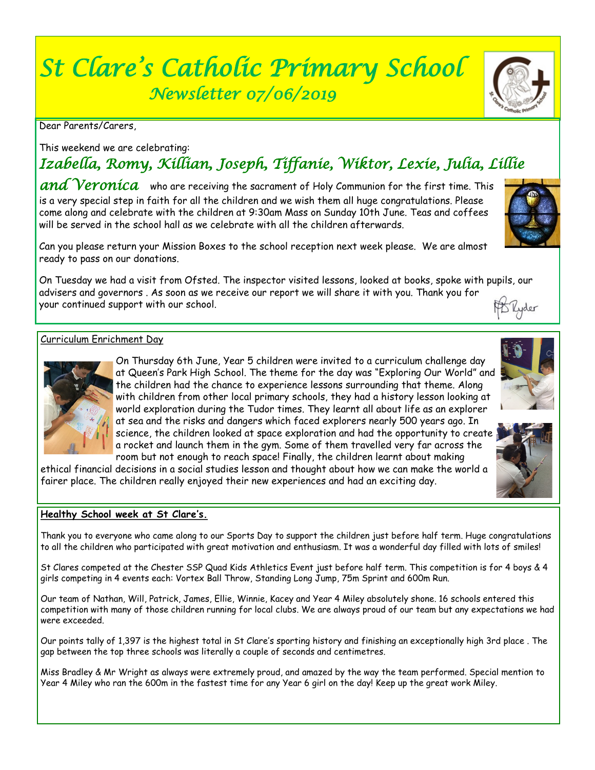# *St Clare's Catholic Primary School Newsletter 07/06/2019*

Dear Parents/Carers,

This weekend we are celebrating:

# *Izabella, Romy, Killian, Joseph, Tiffanie, Wiktor, Lexie, Julia, Lillie*

*and Veronica* who are receiving the sacrament of Holy Communion for the first time. This is a very special step in faith for all the children and we wish them all huge congratulations. Please come along and celebrate with the children at 9:30am Mass on Sunday 10th June. Teas and coffees will be served in the school hall as we celebrate with all the children afterwards.

Can you please return your Mission Boxes to the school reception next week please. We are almost ready to pass on our donations.

On Tuesday we had a visit from Ofsted. The inspector visited lessons, looked at books, spoke with pupils, our advisers and governors . As soon as we receive our report we will share it with you. Thank you for your continued support with our school. B Lyder

#### Curriculum Enrichment Day

On Thursday 6th June, Year 5 children were invited to a curriculum challenge day at Queen's Park High School. The theme for the day was "Exploring Our World" and the children had the chance to experience lessons surrounding that theme. Along with children from other local primary schools, they had a history lesson looking at world exploration during the Tudor times. They learnt all about life as an explorer at sea and the risks and dangers which faced explorers nearly 500 years ago. In science, the children looked at space exploration and had the opportunity to create a rocket and launch them in the gym. Some of them travelled very far across the room but not enough to reach space! Finally, the children learnt about making

ethical financial decisions in a social studies lesson and thought about how we can make the world a fairer place. The children really enjoyed their new experiences and had an exciting day.

#### **Healthy School week at St Clare's.**

Thank you to everyone who came along to our Sports Day to support the children just before half term. Huge congratulations to all the children who participated with great motivation and enthusiasm. It was a wonderful day filled with lots of smiles!

St Clares competed at the Chester SSP Quad Kids Athletics Event just before half term. This competition is for 4 boys & 4 girls competing in 4 events each: Vortex Ball Throw, Standing Long Jump, 75m Sprint and 600m Run.

Our team of Nathan, Will, Patrick, James, Ellie, Winnie, Kacey and Year 4 Miley absolutely shone. 16 schools entered this competition with many of those children running for local clubs. We are always proud of our team but any expectations we had were exceeded.

Our points tally of 1,397 is the highest total in St Clare's sporting history and finishing an exceptionally high 3rd place . The gap between the top three schools was literally a couple of seconds and centimetres.

Miss Bradley & Mr Wright as always were extremely proud, and amazed by the way the team performed. Special mention to Year 4 Miley who ran the 600m in the fastest time for any Year 6 girl on the day! Keep up the great work Miley.